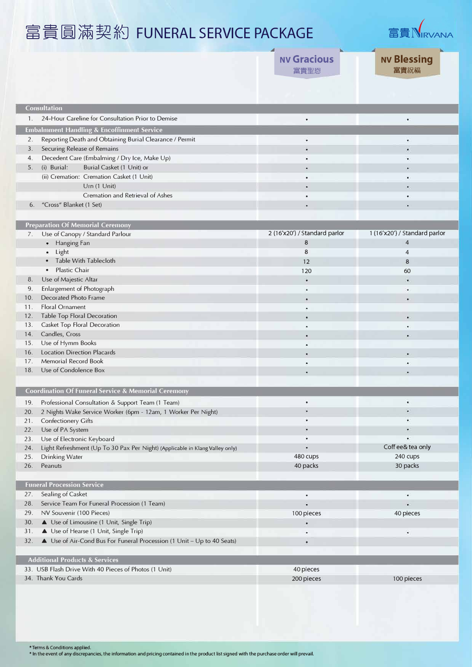## 富貴圓滿契約 FUNERAL SERVICE PACKAGE  $\overline{\phantom{a}}$



|                |                                                                                   | <b>NV Gracious</b><br>富貴聖恩    | <b>NV Blessing</b><br>富貴祝福    |
|----------------|-----------------------------------------------------------------------------------|-------------------------------|-------------------------------|
|                |                                                                                   |                               |                               |
|                | <b>Consultation</b>                                                               |                               |                               |
| $\mathbf{1}$ . | 24-Hour Careline for Consultation Prior to Demise                                 | ٠                             | $\bullet$                     |
|                | <b>Embalmment Handling &amp; Encoffinment Service</b>                             |                               |                               |
| 2.             | Reporting Death and Obtaining Burial Clearance / Permit                           | ٠                             | $\bullet$                     |
| 3 <sub>1</sub> | Securing Release of Remains                                                       | ٠                             |                               |
| 4.             | Decedent Care (Embalming / Dry Ice, Make Up)                                      |                               |                               |
| 5.             | Burial Casket (1 Unit) or<br>(i) Burial:                                          |                               |                               |
|                | (ii) Cremation: Cremation Casket (1 Unit)                                         |                               | ×                             |
|                | Urn (1 Unit)                                                                      |                               |                               |
|                | Cremation and Retrieval of Ashes                                                  | ۰                             | ۰                             |
| 6.             | "Cross" Blanket (1 Set)                                                           |                               |                               |
|                |                                                                                   |                               |                               |
|                | <b>Preparation Of Memorial Ceremony</b>                                           |                               |                               |
| 7.             | Use of Canopy / Standard Parlour                                                  | 2 (16'x20') / Standard parlor | 1 (16'x20') / Standard parlor |
|                | • Hanging Fan                                                                     | 8                             | $\overline{4}$                |
|                | Light<br>$\bullet$                                                                | 8                             | 4                             |
|                | Table With Tablecloth                                                             | 12                            | 8                             |
|                | <b>Plastic Chair</b><br>$\bullet$                                                 | 120                           | 60                            |
| 8.             | Use of Majestic Altar                                                             | $\bullet$                     | $\bullet$                     |
| 9.             | Enlargement of Photograph                                                         |                               | ٠                             |
| 10.            | Decorated Photo Frame                                                             | ٠                             | $\bullet$                     |
| 11.            | Floral Ornament                                                                   | ۰                             |                               |
| 12.<br>13.     | Table Top Floral Decoration<br>Casket Top Floral Decoration                       | ۰                             | $\bullet$                     |
| 14.            | Candles, Cross                                                                    | ۰                             | $\bullet$                     |
| 15.            | Use of Hymm Books                                                                 | ۰                             | ٠                             |
| 16.            | <b>Location Direction Placards</b>                                                |                               | ۰                             |
| 17.            | <b>Memorial Record Book</b>                                                       | ٠                             | $\bullet$                     |
| 18.            | Use of Condolence Box                                                             |                               |                               |
|                |                                                                                   |                               |                               |
|                | <b>Coordination Of Funeral Service &amp; Memorial Ceremony</b>                    |                               |                               |
|                | 19. Professional Consultation & Support Team (1 Team)                             | ٠                             | ٠                             |
|                | 20. 2 Nights Wake Service Worker (6pm - 12am, 1 Worker Per Night)                 |                               |                               |
| 21.            | Confectionery Gifts                                                               | ٠                             | $\bullet$                     |
| 22.            | Use of PA System                                                                  |                               | $\bullet$                     |
| 23.            | Use of Electronic Keyboard                                                        | ٠                             | $\bullet$                     |
| 24.            | Light Refreshment (Up To 30 Pax Per Night) (Applicable in Klang Valley only)      | ٠                             | Coff ee& tea only             |
| 25.            | Drinking Water                                                                    | 480 cups                      | 240 cups                      |
| 26.            | Peanuts                                                                           | 40 packs                      | 30 packs                      |
|                |                                                                                   |                               |                               |
|                | <b>Funeral Procession Service</b>                                                 |                               |                               |
| 27.            | Sealing of Casket                                                                 | ٠                             | $\bullet$                     |
| 28.            | Service Team For Funeral Procession (1 Team)                                      | ¥                             | $\bullet$                     |
| 29.<br>30.     | NV Souvenir (100 Pieces)                                                          | 100 pieces                    | 40 pieces                     |
| 31.            | ▲ Use of Limousine (1 Unit, Single Trip)<br>▲ Use of Hearse (1 Unit, Single Trip) | ٠                             |                               |
| 32.            | ▲ Use of Air-Cond Bus For Funeral Procession (1 Unit - Up to 40 Seats)            | $\bullet$                     | ۰                             |
|                |                                                                                   |                               |                               |
|                | <b>Additional Products &amp; Services</b>                                         |                               |                               |
|                | 33. USB Flash Drive With 40 Pieces of Photos (1 Unit)                             | 40 pieces                     |                               |
|                | 34. Thank You Cards                                                               | 200 pieces                    | 100 pieces                    |
|                |                                                                                   |                               |                               |

\* Terms & Conditions applied.<br>\* In the event of any discrepancies, the information and pricing contained in the product list signed with the purchase order will prevail.